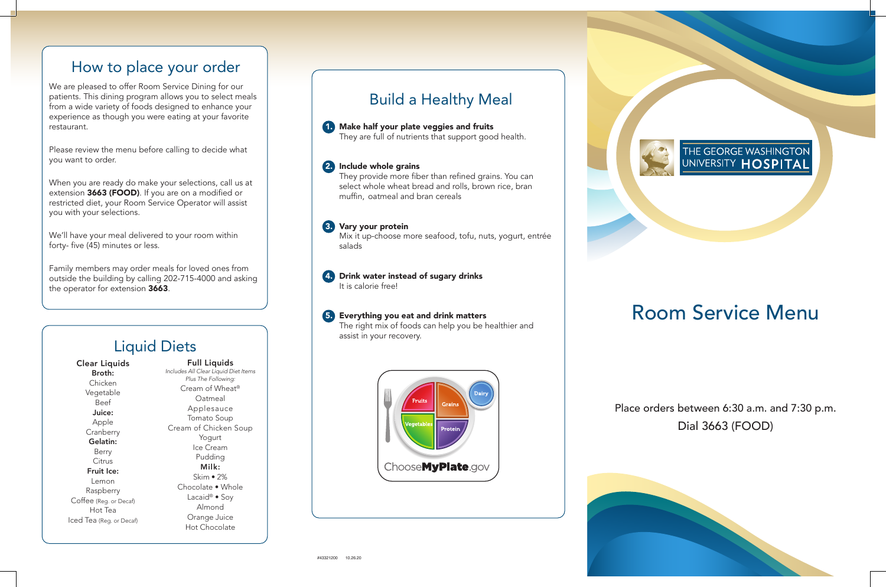

## Place orders between 6:30 a.m. and 7:30 p.m. Dial 3663 (FOOD)



# Room Service Menu

# How to place your order

We are pleased to offer Room Service Dining for our patients. This dining program allows you to select meals from a wide variety of foods designed to enhance your experience as though you were eating at your favorite restaurant.

Please review the menu before calling to decide what you want to order.

When you are ready do make your selections, call us at extension 3663 (FOOD). If you are on a modified or restricted diet, your Room Service Operator will assist you with your selections.

We'll have your meal delivered to your room within forty- five (45) minutes or less.

Family members may order meals for loved ones from outside the building by calling 202-715-4000 and asking the operator for extension 3663.

# Build a Healthy Meal

1. Make half your plate veggies and fruits

They are full of nutrients that support good health.

### 2. Include whole grains

 They provide more fiber than refined grains. You can select whole wheat bread and rolls, brown rice, bran muffin, oatmeal and bran cereals

#### 3. Vary your protein

 Mix it up-choose more seafood, tofu, nuts, yogurt, entrée salads

## 4. Drink water instead of sugary drinks

It is calorie free!

#### 5. Everything you eat and drink matters

 The right mix of foods can help you be healthier and assist in your recovery.



#### Clear Liquids Broth: Chicken Vegetable Beef Juice: Apple Cranberry Gelatin: Berry Citrus Fruit Ice: Lemon Raspberry Coffee (Reg. or Decaf) Hot Tea Iced Tea (Reg. or Decaf)

Full Liquids *Includes All Clear Liquid Diet Items Plus The Following:* Cream of Wheat® Oatmeal Applesauce Tomato Soup Cream of Chicken Soup Yogurt Ice Cream Pudding Milk: Skim • 2% Chocolate • Whole Lacaid® • Soy Almond Orange Juice Hot Chocolate

# Liquid Diets